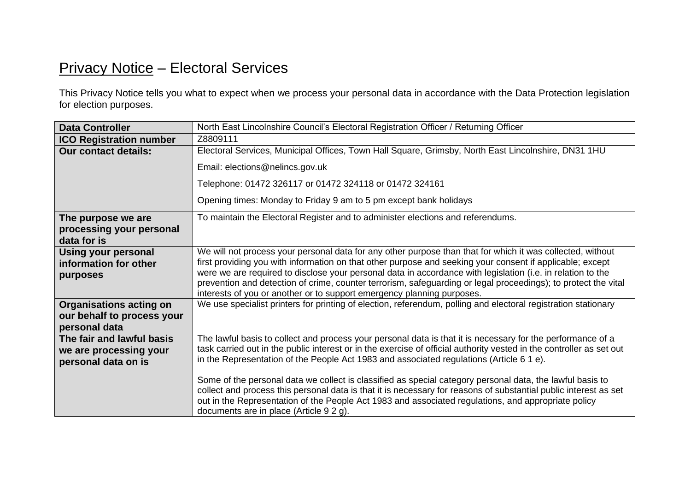## Privacy Notice – Electoral Services

This Privacy Notice tells you what to expect when we process your personal data in accordance with the Data Protection legislation for election purposes.

| <b>Data Controller</b>                                                        | North East Lincolnshire Council's Electoral Registration Officer / Returning Officer                                                                                                                                                                                                                                                                                                                                                                                                                                                                                                                                                                                                                                |
|-------------------------------------------------------------------------------|---------------------------------------------------------------------------------------------------------------------------------------------------------------------------------------------------------------------------------------------------------------------------------------------------------------------------------------------------------------------------------------------------------------------------------------------------------------------------------------------------------------------------------------------------------------------------------------------------------------------------------------------------------------------------------------------------------------------|
| <b>ICO Registration number</b>                                                | Z8809111                                                                                                                                                                                                                                                                                                                                                                                                                                                                                                                                                                                                                                                                                                            |
| <b>Our contact details:</b>                                                   | Electoral Services, Municipal Offices, Town Hall Square, Grimsby, North East Lincolnshire, DN31 1HU                                                                                                                                                                                                                                                                                                                                                                                                                                                                                                                                                                                                                 |
|                                                                               | Email: elections@nelincs.gov.uk                                                                                                                                                                                                                                                                                                                                                                                                                                                                                                                                                                                                                                                                                     |
|                                                                               | Telephone: 01472 326117 or 01472 324118 or 01472 324161                                                                                                                                                                                                                                                                                                                                                                                                                                                                                                                                                                                                                                                             |
|                                                                               | Opening times: Monday to Friday 9 am to 5 pm except bank holidays                                                                                                                                                                                                                                                                                                                                                                                                                                                                                                                                                                                                                                                   |
| The purpose we are<br>processing your personal<br>data for is                 | To maintain the Electoral Register and to administer elections and referendums.                                                                                                                                                                                                                                                                                                                                                                                                                                                                                                                                                                                                                                     |
| <b>Using your personal</b><br>information for other<br>purposes               | We will not process your personal data for any other purpose than that for which it was collected, without<br>first providing you with information on that other purpose and seeking your consent if applicable; except<br>were we are required to disclose your personal data in accordance with legislation (i.e. in relation to the<br>prevention and detection of crime, counter terrorism, safeguarding or legal proceedings); to protect the vital<br>interests of you or another or to support emergency planning purposes.                                                                                                                                                                                  |
| <b>Organisations acting on</b><br>our behalf to process your<br>personal data | We use specialist printers for printing of election, referendum, polling and electoral registration stationary                                                                                                                                                                                                                                                                                                                                                                                                                                                                                                                                                                                                      |
| The fair and lawful basis<br>we are processing your<br>personal data on is    | The lawful basis to collect and process your personal data is that it is necessary for the performance of a<br>task carried out in the public interest or in the exercise of official authority vested in the controller as set out<br>in the Representation of the People Act 1983 and associated regulations (Article $61e$ ).<br>Some of the personal data we collect is classified as special category personal data, the lawful basis to<br>collect and process this personal data is that it is necessary for reasons of substantial public interest as set<br>out in the Representation of the People Act 1983 and associated regulations, and appropriate policy<br>documents are in place (Article 9 2 g). |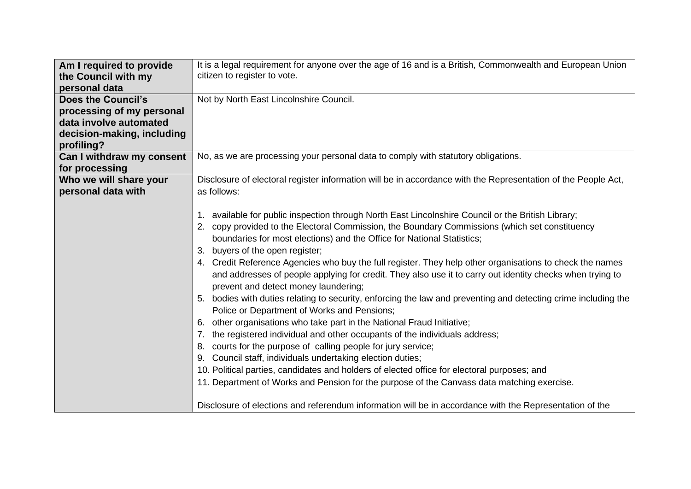| Am I required to provide<br>the Council with my | It is a legal requirement for anyone over the age of 16 and is a British, Commonwealth and European Union<br>citizen to register to vote.         |
|-------------------------------------------------|---------------------------------------------------------------------------------------------------------------------------------------------------|
| personal data                                   |                                                                                                                                                   |
| <b>Does the Council's</b>                       | Not by North East Lincolnshire Council.                                                                                                           |
| processing of my personal                       |                                                                                                                                                   |
| data involve automated                          |                                                                                                                                                   |
| decision-making, including<br>profiling?        |                                                                                                                                                   |
| Can I withdraw my consent                       | No, as we are processing your personal data to comply with statutory obligations.                                                                 |
| for processing                                  |                                                                                                                                                   |
| Who we will share your                          | Disclosure of electoral register information will be in accordance with the Representation of the People Act,                                     |
| personal data with                              | as follows:                                                                                                                                       |
|                                                 |                                                                                                                                                   |
|                                                 | 1. available for public inspection through North East Lincolnshire Council or the British Library;                                                |
|                                                 | 2. copy provided to the Electoral Commission, the Boundary Commissions (which set constituency                                                    |
|                                                 | boundaries for most elections) and the Office for National Statistics;                                                                            |
|                                                 | 3. buyers of the open register;                                                                                                                   |
|                                                 | 4. Credit Reference Agencies who buy the full register. They help other organisations to check the names                                          |
|                                                 | and addresses of people applying for credit. They also use it to carry out identity checks when trying to<br>prevent and detect money laundering; |
|                                                 | 5. bodies with duties relating to security, enforcing the law and preventing and detecting crime including the                                    |
|                                                 | Police or Department of Works and Pensions;                                                                                                       |
|                                                 | 6. other organisations who take part in the National Fraud Initiative;                                                                            |
|                                                 | 7. the registered individual and other occupants of the individuals address;                                                                      |
|                                                 | 8. courts for the purpose of calling people for jury service;                                                                                     |
|                                                 | 9. Council staff, individuals undertaking election duties;                                                                                        |
|                                                 | 10. Political parties, candidates and holders of elected office for electoral purposes; and                                                       |
|                                                 | 11. Department of Works and Pension for the purpose of the Canvass data matching exercise.                                                        |
|                                                 |                                                                                                                                                   |
|                                                 | Disclosure of elections and referendum information will be in accordance with the Representation of the                                           |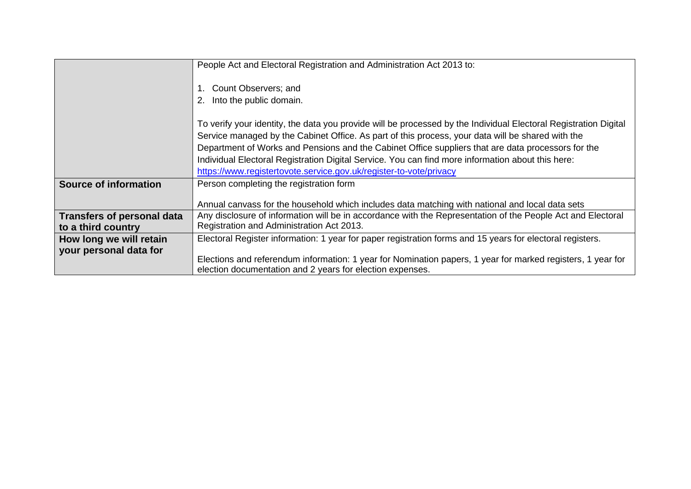|                                                         | People Act and Electoral Registration and Administration Act 2013 to:                                                                                                                                                                                                                                                       |
|---------------------------------------------------------|-----------------------------------------------------------------------------------------------------------------------------------------------------------------------------------------------------------------------------------------------------------------------------------------------------------------------------|
|                                                         | Count Observers; and<br>Into the public domain.                                                                                                                                                                                                                                                                             |
|                                                         | To verify your identity, the data you provide will be processed by the Individual Electoral Registration Digital<br>Service managed by the Cabinet Office. As part of this process, your data will be shared with the<br>Department of Works and Pensions and the Cabinet Office suppliers that are data processors for the |
|                                                         | Individual Electoral Registration Digital Service. You can find more information about this here:<br>https://www.registertovote.service.gov.uk/register-to-vote/privacy                                                                                                                                                     |
| <b>Source of information</b>                            | Person completing the registration form                                                                                                                                                                                                                                                                                     |
|                                                         | Annual canvass for the household which includes data matching with national and local data sets                                                                                                                                                                                                                             |
| <b>Transfers of personal data</b><br>to a third country | Any disclosure of information will be in accordance with the Representation of the People Act and Electoral<br>Registration and Administration Act 2013.                                                                                                                                                                    |
| How long we will retain                                 | Electoral Register information: 1 year for paper registration forms and 15 years for electoral registers.                                                                                                                                                                                                                   |
| your personal data for                                  | Elections and referendum information: 1 year for Nomination papers, 1 year for marked registers, 1 year for<br>election documentation and 2 years for election expenses.                                                                                                                                                    |